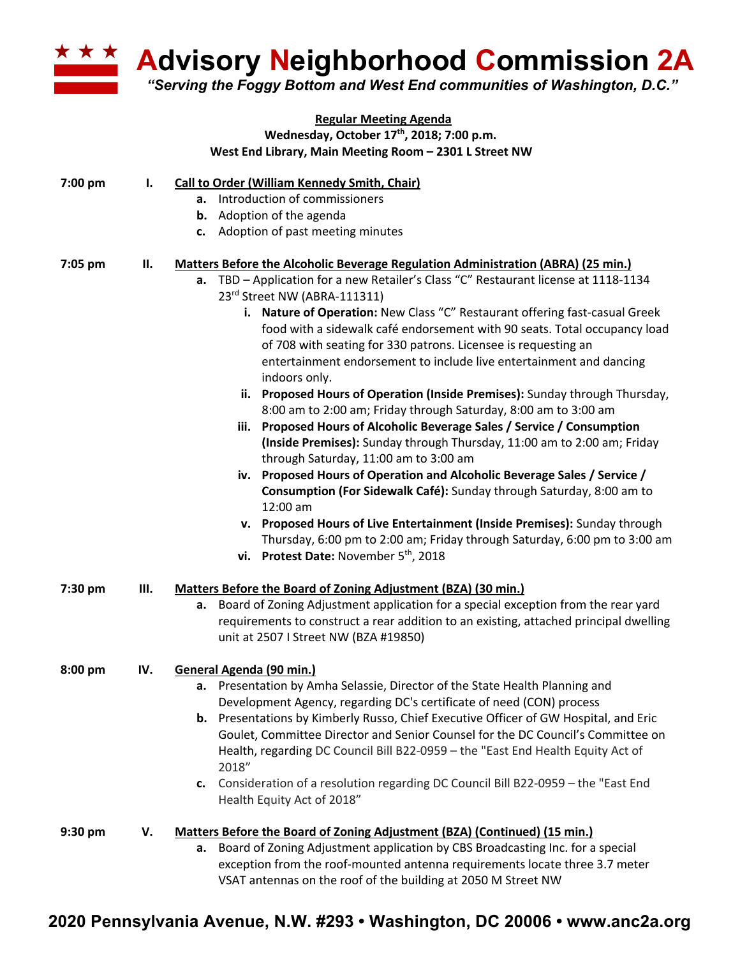

**Advisory Neighborhood Commission 2A**

*"Serving the Foggy Bottom and West End communities of Washington, D.C."*

|           |     | <b>Regular Meeting Agenda</b>                                                                                       |
|-----------|-----|---------------------------------------------------------------------------------------------------------------------|
|           |     | Wednesday, October 17th, 2018; 7:00 p.m.                                                                            |
|           |     | West End Library, Main Meeting Room - 2301 L Street NW                                                              |
| 7:00 pm   | ı.  | Call to Order (William Kennedy Smith, Chair)                                                                        |
|           |     | a. Introduction of commissioners                                                                                    |
|           |     | <b>b.</b> Adoption of the agenda                                                                                    |
|           |     | c. Adoption of past meeting minutes                                                                                 |
| 7:05 pm   | ΙΙ. | Matters Before the Alcoholic Beverage Regulation Administration (ABRA) (25 min.)                                    |
|           |     | a. TBD - Application for a new Retailer's Class "C" Restaurant license at 1118-1134<br>23rd Street NW (ABRA-111311) |
|           |     | i. Nature of Operation: New Class "C" Restaurant offering fast-casual Greek                                         |
|           |     | food with a sidewalk café endorsement with 90 seats. Total occupancy load                                           |
|           |     | of 708 with seating for 330 patrons. Licensee is requesting an                                                      |
|           |     | entertainment endorsement to include live entertainment and dancing<br>indoors only.                                |
|           |     | ii. Proposed Hours of Operation (Inside Premises): Sunday through Thursday,                                         |
|           |     | 8:00 am to 2:00 am; Friday through Saturday, 8:00 am to 3:00 am                                                     |
|           |     | iii. Proposed Hours of Alcoholic Beverage Sales / Service / Consumption                                             |
|           |     | (Inside Premises): Sunday through Thursday, 11:00 am to 2:00 am; Friday                                             |
|           |     | through Saturday, 11:00 am to 3:00 am                                                                               |
|           |     | iv. Proposed Hours of Operation and Alcoholic Beverage Sales / Service /                                            |
|           |     | Consumption (For Sidewalk Café): Sunday through Saturday, 8:00 am to<br>12:00 am                                    |
|           |     | v. Proposed Hours of Live Entertainment (Inside Premises): Sunday through                                           |
|           |     | Thursday, 6:00 pm to 2:00 am; Friday through Saturday, 6:00 pm to 3:00 am                                           |
|           |     | vi. Protest Date: November 5 <sup>th</sup> , 2018                                                                   |
| 7:30 pm   | Ш.  | Matters Before the Board of Zoning Adjustment (BZA) (30 min.)                                                       |
|           |     | a. Board of Zoning Adjustment application for a special exception from the rear yard                                |
|           |     | requirements to construct a rear addition to an existing, attached principal dwelling                               |
|           |     | unit at 2507 I Street NW (BZA #19850)                                                                               |
| $8:00$ pm | IV. | General Agenda (90 min.)                                                                                            |
|           |     | a. Presentation by Amha Selassie, Director of the State Health Planning and                                         |
|           |     | Development Agency, regarding DC's certificate of need (CON) process                                                |
|           |     | b. Presentations by Kimberly Russo, Chief Executive Officer of GW Hospital, and Eric                                |
|           |     | Goulet, Committee Director and Senior Counsel for the DC Council's Committee on                                     |
|           |     | Health, regarding DC Council Bill B22-0959 - the "East End Health Equity Act of<br>2018"                            |
|           |     | c. Consideration of a resolution regarding DC Council Bill B22-0959 - the "East End                                 |
|           |     | Health Equity Act of 2018"                                                                                          |
| $9:30$ pm | V.  | Matters Before the Board of Zoning Adjustment (BZA) (Continued) (15 min.)                                           |
|           |     | a. Board of Zoning Adjustment application by CBS Broadcasting Inc. for a special                                    |
|           |     | exception from the roof-mounted antenna requirements locate three 3.7 meter                                         |
|           |     | VSAT antennas on the roof of the building at 2050 M Street NW                                                       |